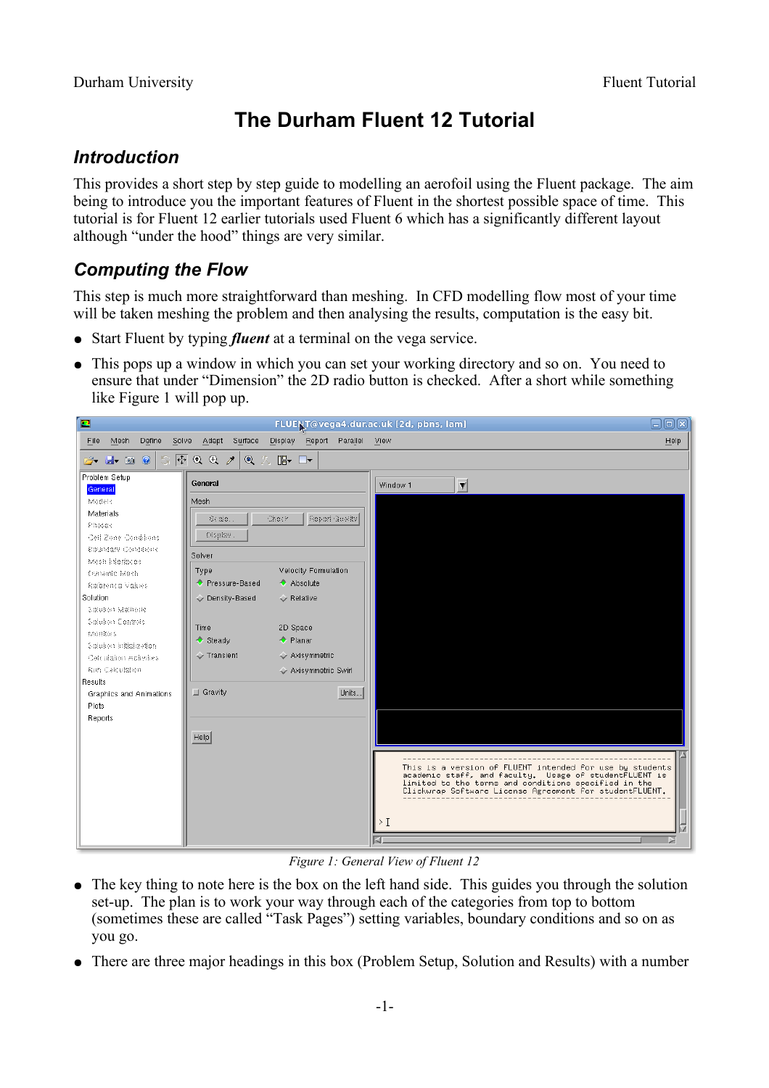# **The Durham Fluent 12 Tutorial**

## *Introduction*

This provides a short step by step guide to modelling an aerofoil using the Fluent package. The aim being to introduce you the important features of Fluent in the shortest possible space of time. This tutorial is for Fluent 12 earlier tutorials used Fluent 6 which has a significantly different layout although "under the hood" things are very similar.

## *Computing the Flow*

This step is much more straightforward than meshing. In CFD modelling flow most of your time will be taken meshing the problem and then analysing the results, computation is the easy bit.

- Start Fluent by typing *fluent* at a terminal on the vega service.
- This pops up a window in which you can set your working directory and so on. You need to ensure that under "Dimension" the 2D radio button is checked. After a short while something like [Figure 1](#page-0-0) will pop up.



*Figure 1: General View of Fluent 12*

- <span id="page-0-0"></span>● The key thing to note here is the box on the left hand side. This guides you through the solution set-up. The plan is to work your way through each of the categories from top to bottom (sometimes these are called "Task Pages") setting variables, boundary conditions and so on as you go.
- There are three major headings in this box (Problem Setup, Solution and Results) with a number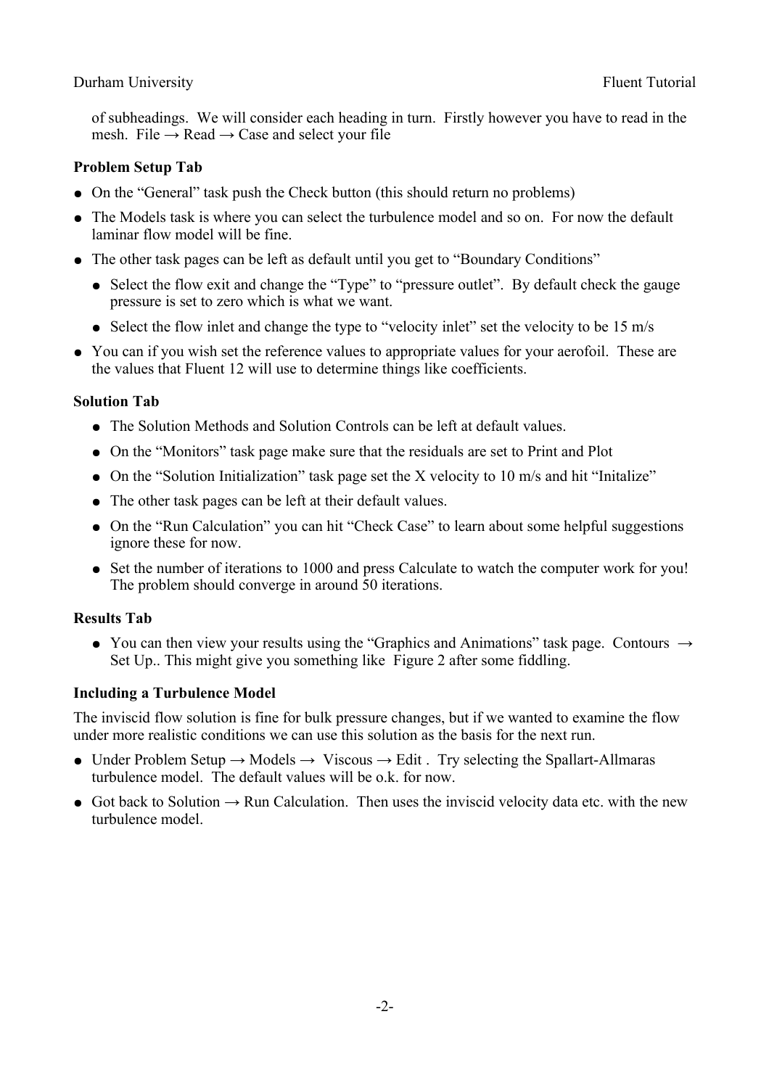#### Durham University Fluent Tutorial

of subheadings. We will consider each heading in turn. Firstly however you have to read in the mesh. File  $\rightarrow$  Read  $\rightarrow$  Case and select your file

#### **Problem Setup Tab**

- On the "General" task push the Check button (this should return no problems)
- The Models task is where you can select the turbulence model and so on. For now the default laminar flow model will be fine.
- The other task pages can be left as default until you get to "Boundary Conditions"
	- Select the flow exit and change the "Type" to "pressure outlet". By default check the gauge pressure is set to zero which is what we want.
	- Select the flow inlet and change the type to "velocity inlet" set the velocity to be 15 m/s
- You can if you wish set the reference values to appropriate values for your aerofoil. These are the values that Fluent 12 will use to determine things like coefficients.

#### **Solution Tab**

- The Solution Methods and Solution Controls can be left at default values.
- On the "Monitors" task page make sure that the residuals are set to Print and Plot
- On the "Solution Initialization" task page set the X velocity to 10 m/s and hit "Initalize"
- The other task pages can be left at their default values.
- On the "Run Calculation" you can hit "Check Case" to learn about some helpful suggestions ignore these for now.
- Set the number of iterations to 1000 and press Calculate to watch the computer work for you! The problem should converge in around 50 iterations.

### **Results Tab**

• You can then view your results using the "Graphics and Animations" task page. Contours  $\rightarrow$ Set Up.. This might give you something like [Figure 2](#page-2-0) after some fiddling.

### **Including a Turbulence Model**

The inviscid flow solution is fine for bulk pressure changes, but if we wanted to examine the flow under more realistic conditions we can use this solution as the basis for the next run.

- Under Problem Setup  $\rightarrow$  Models  $\rightarrow$  Viscous  $\rightarrow$  Edit . Try selecting the Spallart-Allmaras turbulence model. The default values will be o.k. for now.
- Got back to Solution  $\rightarrow$  Run Calculation. Then uses the inviscid velocity data etc. with the new turbulence model.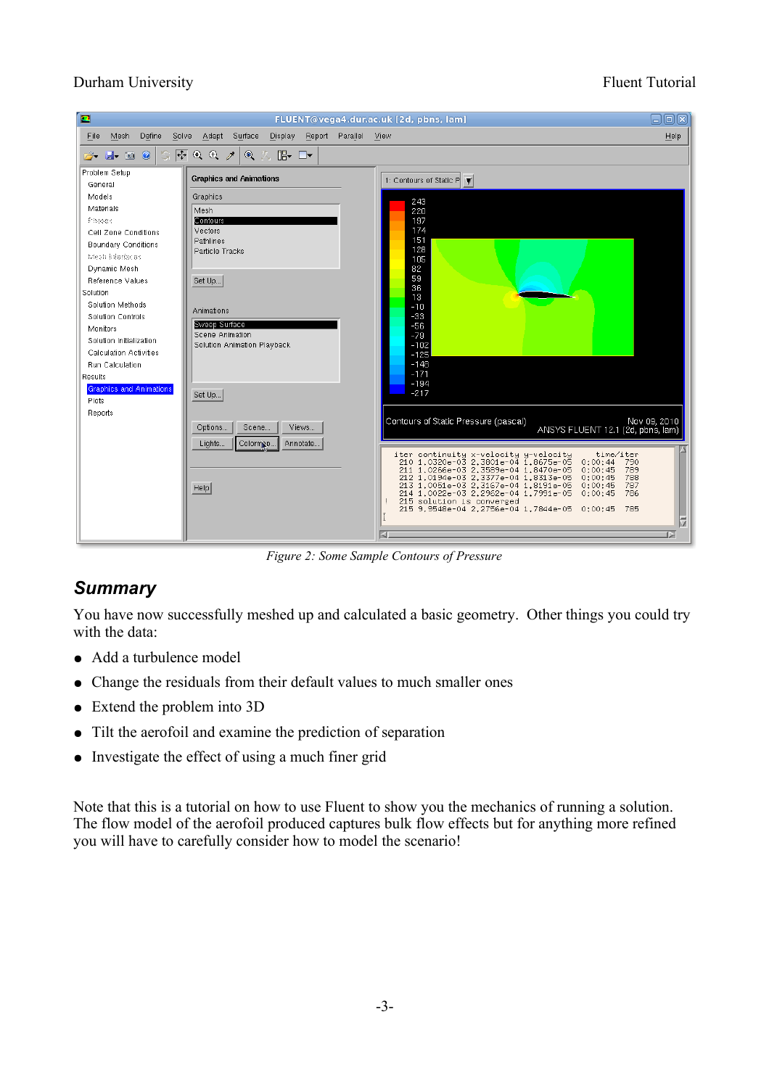#### Durham University Fluent Tutorial

| ◘                                                                                                              |                                                  | FLUENT@vega4.dur.ac.uk [2d, pbns, lam]                                                                           | 日回区          |
|----------------------------------------------------------------------------------------------------------------|--------------------------------------------------|------------------------------------------------------------------------------------------------------------------|--------------|
| File<br>Mesh<br>Define<br>Solve                                                                                | Display<br>Report Parallel View<br>Adapt Surface |                                                                                                                  | Help         |
| $\boxed{\oplus}$ $\odot$ $\odot$ $\nearrow$<br>S.<br>$\mathbf{Q}$<br>$\mathbb{B}$ $\mathbb{D}$<br>2 H 0 0<br>医 |                                                  |                                                                                                                  |              |
| Problem Setup                                                                                                  |                                                  |                                                                                                                  |              |
| General                                                                                                        | <b>Graphics and Animations</b>                   | 1: Contours of Static P \                                                                                        |              |
| Models                                                                                                         | Graphics                                         | 243                                                                                                              |              |
| Materials                                                                                                      | Mesh                                             | 220                                                                                                              |              |
| Pinases                                                                                                        | Contours                                         | 197                                                                                                              |              |
| Cell Zone Conditions                                                                                           | Vectors<br>Pathlines                             | 174<br>151                                                                                                       |              |
| <b>Boundary Conditions</b>                                                                                     | Particle Tracks                                  | 128                                                                                                              |              |
| Mesh interfaces                                                                                                |                                                  | 105                                                                                                              |              |
| Dynamic Mesh<br>Reference Values                                                                               | Set Up                                           | 82<br>59                                                                                                         |              |
| Solution                                                                                                       |                                                  | 36                                                                                                               |              |
| Solution Methods                                                                                               |                                                  | 13<br>$-10$                                                                                                      |              |
| Solution Controls                                                                                              | Animations                                       | $-33$                                                                                                            |              |
| Monitors                                                                                                       | Sweep Surface                                    | $-56$                                                                                                            |              |
| Solution Initialization                                                                                        | Scene Animation<br>Solution Animation Playback   | $-79$<br>$-102$                                                                                                  |              |
| Calculation Activities                                                                                         |                                                  | $-125$                                                                                                           |              |
| Run Calculation                                                                                                |                                                  | $-148$<br>$-171$                                                                                                 |              |
| Results                                                                                                        |                                                  | $-194$                                                                                                           |              |
| <b>Graphics and Animations</b><br><b>Plots</b>                                                                 | Set Up                                           | $-217$                                                                                                           |              |
| Reports                                                                                                        |                                                  |                                                                                                                  |              |
|                                                                                                                | Options<br>Scene<br>Views                        | Contours of Static Pressure (pascal)                                                                             | Nov 09, 2010 |
|                                                                                                                |                                                  | ANSYS FLUENT 12.1 (2d, pbns, lam)                                                                                |              |
|                                                                                                                | Colormon<br>Annotate<br>Lights                   | time/iter                                                                                                        |              |
|                                                                                                                |                                                  | iter continuity x-velocity y-velocity<br>210 1.0320e-03 2.3801e-04 1.8675e-05<br>0:00:44<br>790                  |              |
|                                                                                                                |                                                  | 211 1.0266e-03 2.3589e-04 1.8470e-05<br>789<br>0:00:45<br>212 1.0194e-03 2.3377e-04 1.8313e-05<br>788<br>0:00:45 |              |
|                                                                                                                | HeIp                                             | 213 1.0051e-03 2.3167e-04 1.8191e-05<br>0:00:45<br>787<br>214 1.0022e-03 2.2962e-04 1.7991e-05<br>786<br>0:00:45 |              |
|                                                                                                                |                                                  | 215 solution is converged<br>215 9.9548e-04 2.2756e-04 1.7844e-05 0:00:45<br>785                                 |              |
|                                                                                                                |                                                  |                                                                                                                  |              |
|                                                                                                                |                                                  |                                                                                                                  |              |
|                                                                                                                |                                                  |                                                                                                                  |              |

<span id="page-2-0"></span>*Figure 2: Some Sample Contours of Pressure*

## *Summary*

You have now successfully meshed up and calculated a basic geometry. Other things you could try with the data:

- Add a turbulence model
- Change the residuals from their default values to much smaller ones
- Extend the problem into 3D
- Tilt the aerofoil and examine the prediction of separation
- Investigate the effect of using a much finer grid

Note that this is a tutorial on how to use Fluent to show you the mechanics of running a solution. The flow model of the aerofoil produced captures bulk flow effects but for anything more refined you will have to carefully consider how to model the scenario!